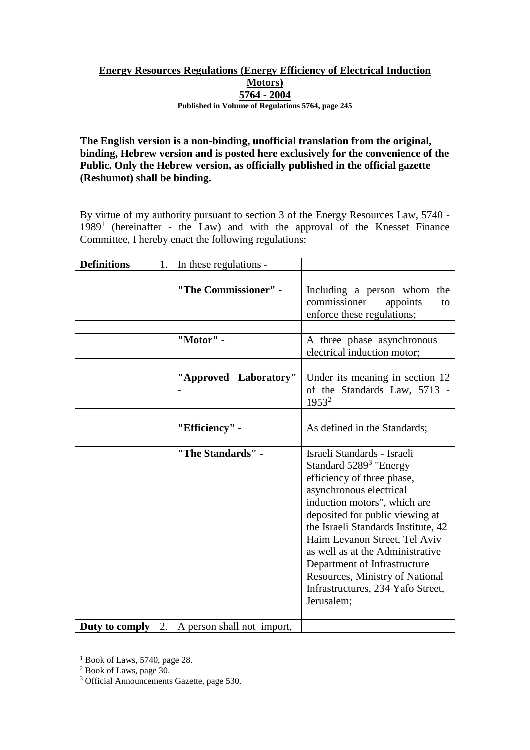## **Energy Resources Regulations (Energy Efficiency of Electrical Induction Motors) 5764 - 2004 Published in Volume of Regulations 5764, page 245**

**The English version is a non-binding, unofficial translation from the original, binding, Hebrew version and is posted here exclusively for the convenience of the Public. Only the Hebrew version, as officially published in the official gazette (Reshumot) shall be binding.**

By virtue of my authority pursuant to section 3 of the Energy Resources Law, 5740 - 1989<sup>1</sup> (hereinafter - the Law) and with the approval of the Knesset Finance Committee, I hereby enact the following regulations:

| <b>Definitions</b> | 1.  | In these regulations -     |                                                                                                                                                                                                                                                                                                                                                                                                                                 |
|--------------------|-----|----------------------------|---------------------------------------------------------------------------------------------------------------------------------------------------------------------------------------------------------------------------------------------------------------------------------------------------------------------------------------------------------------------------------------------------------------------------------|
|                    |     |                            |                                                                                                                                                                                                                                                                                                                                                                                                                                 |
|                    |     | "The Commissioner" -       | Including a person whom the<br>commissioner<br>appoints<br>to<br>enforce these regulations;                                                                                                                                                                                                                                                                                                                                     |
|                    |     |                            |                                                                                                                                                                                                                                                                                                                                                                                                                                 |
|                    |     | "Motor" -                  | A three phase asynchronous<br>electrical induction motor;                                                                                                                                                                                                                                                                                                                                                                       |
|                    |     |                            |                                                                                                                                                                                                                                                                                                                                                                                                                                 |
|                    |     | "Approved Laboratory"      | Under its meaning in section 12<br>of the Standards Law, 5713 -<br>$1953^2$                                                                                                                                                                                                                                                                                                                                                     |
|                    |     |                            |                                                                                                                                                                                                                                                                                                                                                                                                                                 |
|                    |     | "Efficiency" -             | As defined in the Standards;                                                                                                                                                                                                                                                                                                                                                                                                    |
|                    |     |                            |                                                                                                                                                                                                                                                                                                                                                                                                                                 |
|                    |     | "The Standards" -          | Israeli Standards - Israeli<br>Standard 5289 <sup>3</sup> "Energy<br>efficiency of three phase,<br>asynchronous electrical<br>induction motors", which are<br>deposited for public viewing at<br>the Israeli Standards Institute, 42<br>Haim Levanon Street, Tel Aviv<br>as well as at the Administrative<br>Department of Infrastructure<br>Resources, Ministry of National<br>Infrastructures, 234 Yafo Street,<br>Jerusalem; |
|                    | 2.1 |                            |                                                                                                                                                                                                                                                                                                                                                                                                                                 |
| Duty to comply     |     | A person shall not import, |                                                                                                                                                                                                                                                                                                                                                                                                                                 |

<u>.</u>

 $<sup>1</sup>$  Book of Laws, 5740, page 28.</sup>

<sup>2</sup> Book of Laws, page 30.

<sup>3</sup> Official Announcements Gazette, page 530.